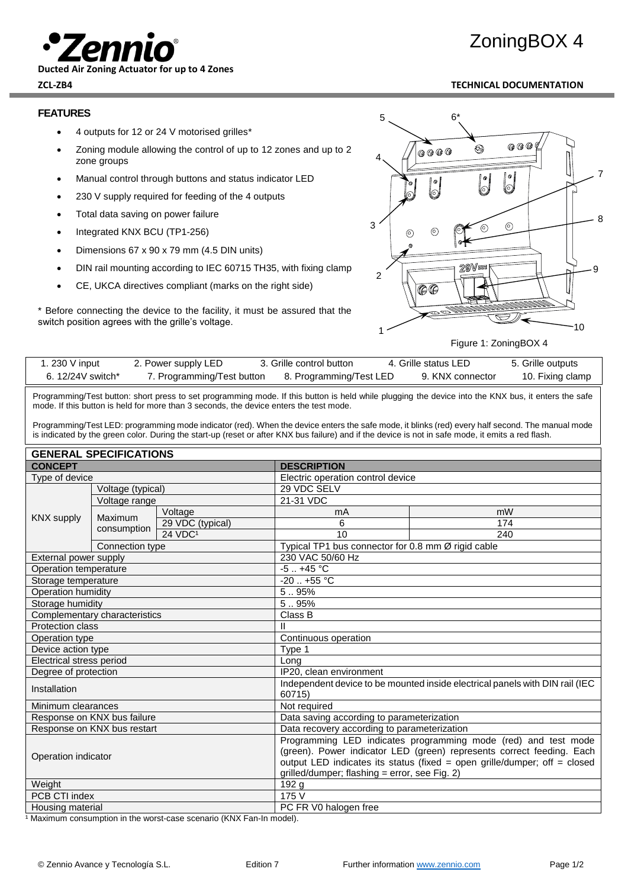

**Ducted Air Zoning Actuator for up to 4 Zones**

# ZoningBOX 4

## **ZCL-ZB4 TECHNICAL DOCUMENTATION**

### **FEATURES**

- 4 outputs for 12 or 24 V motorised grilles\*
- Zoning module allowing the control of up to 12 zones and up to 2 zone groups
- Manual control through buttons and status indicator LED
- 230 V supply required for feeding of the 4 outputs
- Total data saving on power failure
- Integrated KNX BCU (TP1-256)
- Dimensions 67 x 90 x 79 mm (4.5 DIN units)
- DIN rail mounting according to IEC 60715 TH35, with fixing clamp
- CE, UKCA directives compliant (marks on the right side)

\* Before connecting the device to the facility, it must be assured that the switch position agrees with the grille's voltage.



Figure 1: ZoningBOX 4

| 1. 230 V input   | 2. Power supply LED        | 3. Grille control button | 4. Grille status LED | 5. Grille outputs |
|------------------|----------------------------|--------------------------|----------------------|-------------------|
| 6.12/24V switch* | 7. Programming/Test button | 8. Programming/Test LED  | 9. KNX connector     | 10. Fixing clamp  |

Programming/Test button: short press to set programming mode. If this button is held while plugging the device into the KNX bus, it enters the safe mode. If this button is held for more than 3 seconds, the device enters the test mode.

Programming/Test LED: programming mode indicator (red). When the device enters the safe mode, it blinks (red) every half second. The manual mode is indicated by the green color. During the start-up (reset or after KNX bus failure) and if the device is not in safe mode, it emits a red flash.

|                                 | <b>GENERAL SPECIFICATIONS</b> |                                               |                                                                              |                                                                           |  |
|---------------------------------|-------------------------------|-----------------------------------------------|------------------------------------------------------------------------------|---------------------------------------------------------------------------|--|
| <b>CONCEPT</b>                  |                               | <b>DESCRIPTION</b>                            |                                                                              |                                                                           |  |
| Type of device                  |                               |                                               | Electric operation control device                                            |                                                                           |  |
|                                 | Voltage (typical)             |                                               | 29 VDC SELV                                                                  |                                                                           |  |
|                                 | Voltage range                 |                                               | 21-31 VDC                                                                    |                                                                           |  |
| <b>KNX supply</b>               |                               | Voltage                                       | mA                                                                           | mW                                                                        |  |
|                                 | Maximum                       | 29 VDC (typical)                              | 6                                                                            | 174                                                                       |  |
|                                 | consumption                   | 24 VDC <sup>1</sup>                           | 10                                                                           | 240                                                                       |  |
|                                 | Connection type               |                                               |                                                                              | Typical TP1 bus connector for 0.8 mm Ø rigid cable                        |  |
| External power supply           |                               |                                               | 230 VAC 50/60 Hz                                                             |                                                                           |  |
| Operation temperature           |                               |                                               | $-5.1 + 45$ °C                                                               |                                                                           |  |
| Storage temperature             |                               |                                               | $-20$ $+55$ °C                                                               |                                                                           |  |
| <b>Operation humidity</b>       |                               |                                               | 5.95%                                                                        |                                                                           |  |
| Storage humidity                |                               | 5.95%                                         |                                                                              |                                                                           |  |
| Complementary characteristics   |                               | Class B                                       |                                                                              |                                                                           |  |
| <b>Protection class</b>         |                               |                                               |                                                                              |                                                                           |  |
| Operation type                  |                               | Continuous operation                          |                                                                              |                                                                           |  |
| Device action type              |                               | Type 1                                        |                                                                              |                                                                           |  |
| <b>Electrical stress period</b> |                               | Long                                          |                                                                              |                                                                           |  |
| Degree of protection            |                               | IP20, clean environment                       |                                                                              |                                                                           |  |
| Installation                    |                               | 60715)                                        | Independent device to be mounted inside electrical panels with DIN rail (IEC |                                                                           |  |
| Minimum clearances              |                               | Not required                                  |                                                                              |                                                                           |  |
| Response on KNX bus failure     |                               | Data saving according to parameterization     |                                                                              |                                                                           |  |
| Response on KNX bus restart     |                               | Data recovery according to parameterization   |                                                                              |                                                                           |  |
|                                 |                               |                                               | Programming LED indicates programming mode (red) and test mode               |                                                                           |  |
|                                 |                               |                                               | (green). Power indicator LED (green) represents correct feeding. Each        |                                                                           |  |
| Operation indicator             |                               |                                               |                                                                              | output LED indicates its status (fixed = open grille/dumper; off = closed |  |
|                                 |                               | grilled/dumper; flashing = error, see Fig. 2) |                                                                              |                                                                           |  |
| Weight                          |                               | 192 <sub>g</sub>                              |                                                                              |                                                                           |  |
| PCB CTI index                   |                               | 175 V                                         |                                                                              |                                                                           |  |
| Housing material                |                               | PC FR V0 halogen free                         |                                                                              |                                                                           |  |

1 Maximum consumption in the worst-case scenario (KNX Fan-In model).